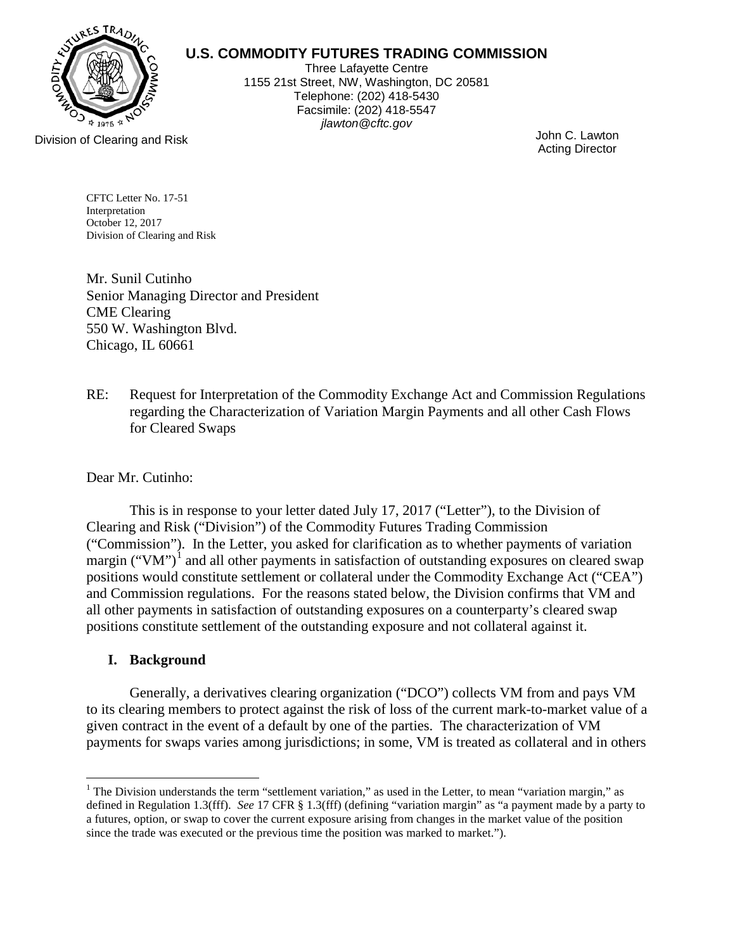

# **U.S. COMMODITY FUTURES TRADING COMMISSION**

Three Lafayette Centre 1155 21st Street, NW, Washington, DC 20581 Telephone: (202) 418-5430 Facsimile: (202) 418-5547 *jlawton@cftc.gov*

Acting Director

Division of Clearing and Risk John C. Lawton

CFTC Letter No. 17-51 Interpretation October 12, 2017 Division of Clearing and Risk

Mr. Sunil Cutinho Senior Managing Director and President CME Clearing 550 W. Washington Blvd. Chicago, IL 60661

RE: Request for Interpretation of the Commodity Exchange Act and Commission Regulations regarding the Characterization of Variation Margin Payments and all other Cash Flows for Cleared Swaps

## Dear Mr. Cutinho:

This is in response to your letter dated July 17, 2017 ("Letter"), to the Division of Clearing and Risk ("Division") of the Commodity Futures Trading Commission ("Commission"). In the Letter, you asked for clarification as to whether payments of variation margin ("VM")<sup>[1](#page-0-0)</sup> and all other payments in satisfaction of outstanding exposures on cleared swap positions would constitute settlement or collateral under the Commodity Exchange Act ("CEA") and Commission regulations. For the reasons stated below, the Division confirms that VM and all other payments in satisfaction of outstanding exposures on a counterparty's cleared swap positions constitute settlement of the outstanding exposure and not collateral against it.

# **I. Background**

Generally, a derivatives clearing organization ("DCO") collects VM from and pays VM to its clearing members to protect against the risk of loss of the current mark-to-market value of a given contract in the event of a default by one of the parties. The characterization of VM payments for swaps varies among jurisdictions; in some, VM is treated as collateral and in others

<span id="page-0-0"></span> $\overline{a}$  $1$  The Division understands the term "settlement variation," as used in the Letter, to mean "variation margin," as defined in Regulation 1.3(fff). *See* 17 CFR § 1.3(fff) (defining "variation margin" as "a payment made by a party to a futures, option, or swap to cover the current exposure arising from changes in the market value of the position since the trade was executed or the previous time the position was marked to market.").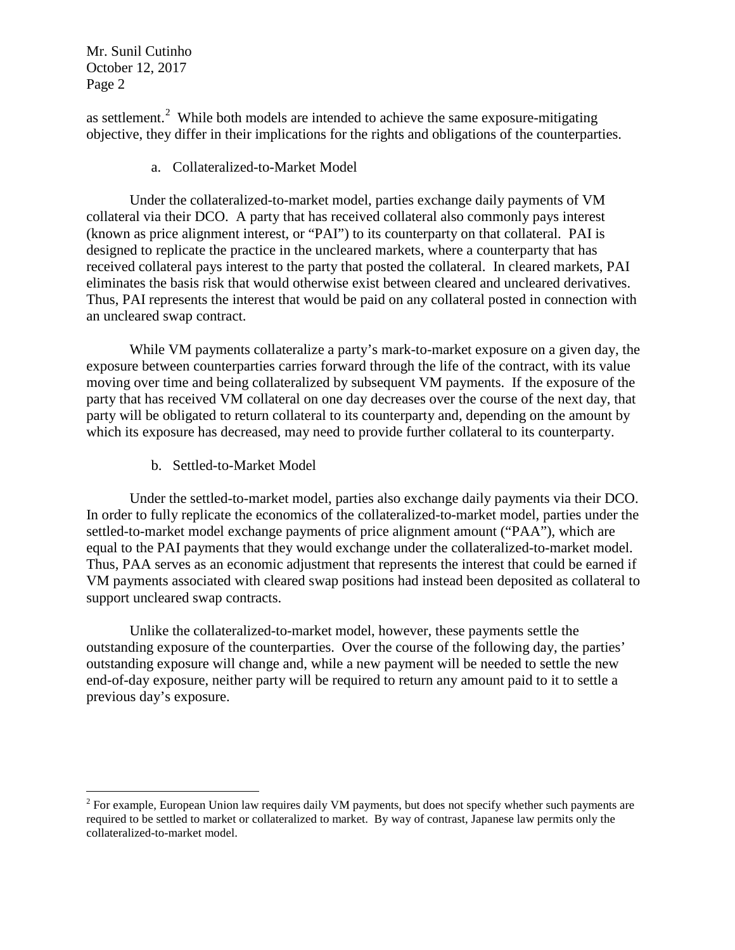$\overline{a}$ 

as settlement.<sup>[2](#page-1-0)</sup> While both models are intended to achieve the same exposure-mitigating objective, they differ in their implications for the rights and obligations of the counterparties.

a. Collateralized-to-Market Model

Under the collateralized-to-market model, parties exchange daily payments of VM collateral via their DCO. A party that has received collateral also commonly pays interest (known as price alignment interest, or "PAI") to its counterparty on that collateral. PAI is designed to replicate the practice in the uncleared markets, where a counterparty that has received collateral pays interest to the party that posted the collateral. In cleared markets, PAI eliminates the basis risk that would otherwise exist between cleared and uncleared derivatives. Thus, PAI represents the interest that would be paid on any collateral posted in connection with an uncleared swap contract.

While VM payments collateralize a party's mark-to-market exposure on a given day, the exposure between counterparties carries forward through the life of the contract, with its value moving over time and being collateralized by subsequent VM payments. If the exposure of the party that has received VM collateral on one day decreases over the course of the next day, that party will be obligated to return collateral to its counterparty and, depending on the amount by which its exposure has decreased, may need to provide further collateral to its counterparty.

b. Settled-to-Market Model

Under the settled-to-market model, parties also exchange daily payments via their DCO. In order to fully replicate the economics of the collateralized-to-market model, parties under the settled-to-market model exchange payments of price alignment amount ("PAA"), which are equal to the PAI payments that they would exchange under the collateralized-to-market model. Thus, PAA serves as an economic adjustment that represents the interest that could be earned if VM payments associated with cleared swap positions had instead been deposited as collateral to support uncleared swap contracts.

Unlike the collateralized-to-market model, however, these payments settle the outstanding exposure of the counterparties. Over the course of the following day, the parties' outstanding exposure will change and, while a new payment will be needed to settle the new end-of-day exposure, neither party will be required to return any amount paid to it to settle a previous day's exposure.

<span id="page-1-0"></span> $2$  For example, European Union law requires daily VM payments, but does not specify whether such payments are required to be settled to market or collateralized to market. By way of contrast, Japanese law permits only the collateralized-to-market model.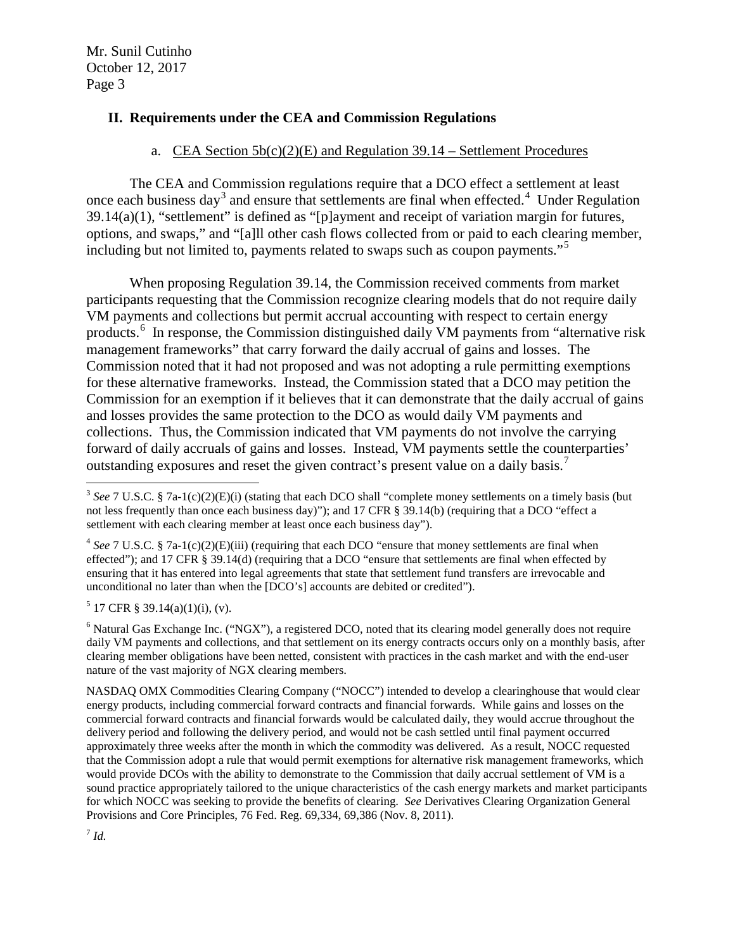#### **II. Requirements under the CEA and Commission Regulations**

#### a. CEA Section  $5b(c)(2)(E)$  and Regulation 39.14 – Settlement Procedures

The CEA and Commission regulations require that a DCO effect a settlement at least once each business day<sup>[3](#page-2-0)</sup> and ensure that settlements are final when effected.<sup>[4](#page-2-1)</sup> Under Regulation 39.14(a)(1), "settlement" is defined as "[p]ayment and receipt of variation margin for futures, options, and swaps," and "[a]ll other cash flows collected from or paid to each clearing member, including but not limited to, payments related to swaps such as coupon payments."[5](#page-2-2)

When proposing Regulation 39.14, the Commission received comments from market participants requesting that the Commission recognize clearing models that do not require daily VM payments and collections but permit accrual accounting with respect to certain energy products.<sup>[6](#page-2-3)</sup> In response, the Commission distinguished daily VM payments from "alternative risk management frameworks" that carry forward the daily accrual of gains and losses. The Commission noted that it had not proposed and was not adopting a rule permitting exemptions for these alternative frameworks. Instead, the Commission stated that a DCO may petition the Commission for an exemption if it believes that it can demonstrate that the daily accrual of gains and losses provides the same protection to the DCO as would daily VM payments and collections. Thus, the Commission indicated that VM payments do not involve the carrying forward of daily accruals of gains and losses. Instead, VM payments settle the counterparties' outstanding exposures and reset the given contract's present value on a daily basis.<sup>[7](#page-2-4)</sup>

<span id="page-2-2"></span> $5$  17 CFR § 39.14(a)(1)(i), (v).

<span id="page-2-3"></span> $6$  Natural Gas Exchange Inc. ("NGX"), a registered DCO, noted that its clearing model generally does not require daily VM payments and collections, and that settlement on its energy contracts occurs only on a monthly basis, after clearing member obligations have been netted, consistent with practices in the cash market and with the end-user nature of the vast majority of NGX clearing members.

NASDAQ OMX Commodities Clearing Company ("NOCC") intended to develop a clearinghouse that would clear energy products, including commercial forward contracts and financial forwards. While gains and losses on the commercial forward contracts and financial forwards would be calculated daily, they would accrue throughout the delivery period and following the delivery period, and would not be cash settled until final payment occurred approximately three weeks after the month in which the commodity was delivered. As a result, NOCC requested that the Commission adopt a rule that would permit exemptions for alternative risk management frameworks, which would provide DCOs with the ability to demonstrate to the Commission that daily accrual settlement of VM is a sound practice appropriately tailored to the unique characteristics of the cash energy markets and market participants for which NOCC was seeking to provide the benefits of clearing. *See* Derivatives Clearing Organization General Provisions and Core Principles, 76 Fed. Reg. 69,334, 69,386 (Nov. 8, 2011).

<span id="page-2-4"></span> $^7$  *Id.* 

<span id="page-2-0"></span> $\overline{a}$ <sup>3</sup> *See* 7 U.S.C. § 7a-1(c)(2)(E)(i) (stating that each DCO shall "complete money settlements on a timely basis (but not less frequently than once each business day)"); and 17 CFR § 39.14(b) (requiring that a DCO "effect a settlement with each clearing member at least once each business day").

<span id="page-2-1"></span><sup>4</sup> *See* 7 U.S.C. § 7a-1(c)(2)(E)(iii) (requiring that each DCO "ensure that money settlements are final when effected"); and 17 CFR § 39.14(d) (requiring that a DCO "ensure that settlements are final when effected by ensuring that it has entered into legal agreements that state that settlement fund transfers are irrevocable and unconditional no later than when the [DCO's] accounts are debited or credited").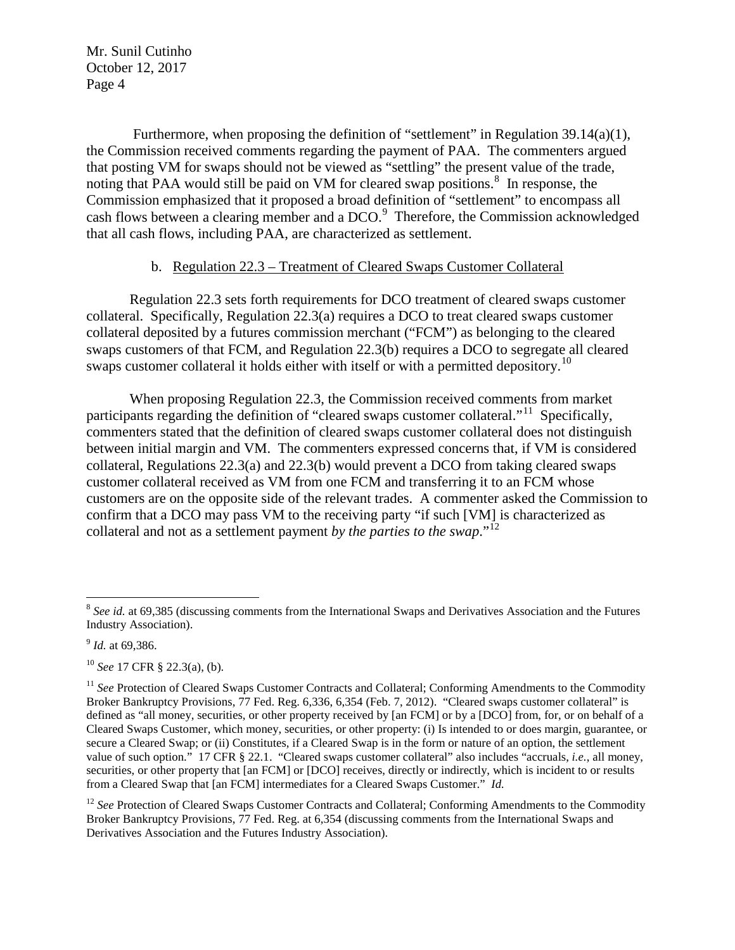Furthermore, when proposing the definition of "settlement" in Regulation 39.14(a)(1), the Commission received comments regarding the payment of PAA. The commenters argued that posting VM for swaps should not be viewed as "settling" the present value of the trade, noting that PAA would still be paid on VM for cleared swap positions. $8\,$  $8\,$  In response, the Commission emphasized that it proposed a broad definition of "settlement" to encompass all cash flows between a clearing member and a DCO.<sup>[9](#page-3-1)</sup> Therefore, the Commission acknowledged that all cash flows, including PAA, are characterized as settlement.

#### b. Regulation 22.3 – Treatment of Cleared Swaps Customer Collateral

Regulation 22.3 sets forth requirements for DCO treatment of cleared swaps customer collateral. Specifically, Regulation 22.3(a) requires a DCO to treat cleared swaps customer collateral deposited by a futures commission merchant ("FCM") as belonging to the cleared swaps customers of that FCM, and Regulation 22.3(b) requires a DCO to segregate all cleared swaps customer collateral it holds either with itself or with a permitted depository.<sup>[10](#page-3-2)</sup>

When proposing Regulation 22.3, the Commission received comments from market participants regarding the definition of "cleared swaps customer collateral."<sup>[11](#page-3-3)</sup> Specifically, commenters stated that the definition of cleared swaps customer collateral does not distinguish between initial margin and VM. The commenters expressed concerns that, if VM is considered collateral, Regulations 22.3(a) and 22.3(b) would prevent a DCO from taking cleared swaps customer collateral received as VM from one FCM and transferring it to an FCM whose customers are on the opposite side of the relevant trades. A commenter asked the Commission to confirm that a DCO may pass VM to the receiving party "if such [VM] is characterized as collateral and not as a settlement payment *by the parties to the swap*."[12](#page-3-4)

 $\overline{a}$ 

<span id="page-3-0"></span><sup>&</sup>lt;sup>8</sup> See id. at 69,385 (discussing comments from the International Swaps and Derivatives Association and the Futures Industry Association).

<span id="page-3-1"></span><sup>9</sup> *Id.* at 69,386.

<span id="page-3-2"></span><sup>10</sup> *See* 17 CFR § 22.3(a), (b).

<span id="page-3-3"></span><sup>&</sup>lt;sup>11</sup> See Protection of Cleared Swaps Customer Contracts and Collateral; Conforming Amendments to the Commodity Broker Bankruptcy Provisions, 77 Fed. Reg. 6,336, 6,354 (Feb. 7, 2012). "Cleared swaps customer collateral" is defined as "all money, securities, or other property received by [an FCM] or by a [DCO] from, for, or on behalf of a Cleared Swaps Customer, which money, securities, or other property: (i) Is intended to or does margin, guarantee, or secure a Cleared Swap; or (ii) Constitutes, if a Cleared Swap is in the form or nature of an option, the settlement value of such option." 17 CFR § 22.1. "Cleared swaps customer collateral" also includes "accruals, *i.e.*, all money, securities, or other property that [an FCM] or [DCO] receives, directly or indirectly, which is incident to or results from a Cleared Swap that [an FCM] intermediates for a Cleared Swaps Customer." *Id.*

<span id="page-3-4"></span><sup>&</sup>lt;sup>12</sup> See Protection of Cleared Swaps Customer Contracts and Collateral; Conforming Amendments to the Commodity Broker Bankruptcy Provisions, 77 Fed. Reg. at 6,354 (discussing comments from the International Swaps and Derivatives Association and the Futures Industry Association).